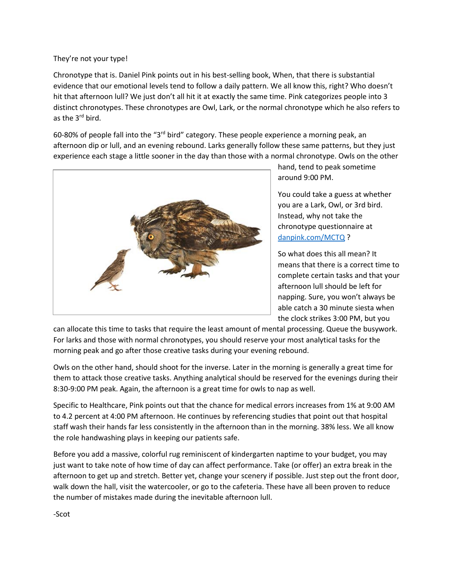They're not your type!

Chronotype that is. Daniel Pink points out in his best-selling book, When, that there is substantial evidence that our emotional levels tend to follow a daily pattern. We all know this, right? Who doesn't hit that afternoon lull? We just don't all hit it at exactly the same time. Pink categorizes people into 3 distinct chronotypes. These chronotypes are Owl, Lark, or the normal chronotype which he also refers to as the 3<sup>rd</sup> bird.

60-80% of people fall into the "3rd bird" category. These people experience a morning peak, an afternoon dip or lull, and an evening rebound. Larks generally follow these same patterns, but they just experience each stage a little sooner in the day than those with a normal chronotype. Owls on the other



hand, tend to peak sometime around 9:00 PM.

You could take a guess at whether you are a Lark, Owl, or 3rd bird. Instead, why not take the chronotype questionnaire at [danpink.com/MCTQ](https://www.danpink.com/MCTQ/) ?

So what does this all mean? It means that there is a correct time to complete certain tasks and that your afternoon lull should be left for napping. Sure, you won't always be able catch a 30 minute siesta when the clock strikes 3:00 PM, but you

can allocate this time to tasks that require the least amount of mental processing. Queue the busywork. For larks and those with normal chronotypes, you should reserve your most analytical tasks for the morning peak and go after those creative tasks during your evening rebound.

Owls on the other hand, should shoot for the inverse. Later in the morning is generally a great time for them to attack those creative tasks. Anything analytical should be reserved for the evenings during their 8:30-9:00 PM peak. Again, the afternoon is a great time for owls to nap as well.

Specific to Healthcare, Pink points out that the chance for medical errors increases from 1% at 9:00 AM to 4.2 percent at 4:00 PM afternoon. He continues by referencing studies that point out that hospital staff wash their hands far less consistently in the afternoon than in the morning. 38% less. We all know the role handwashing plays in keeping our patients safe.

Before you add a massive, colorful rug reminiscent of kindergarten naptime to your budget, you may just want to take note of how time of day can affect performance. Take (or offer) an extra break in the afternoon to get up and stretch. Better yet, change your scenery if possible. Just step out the front door, walk down the hall, visit the watercooler, or go to the cafeteria. These have all been proven to reduce the number of mistakes made during the inevitable afternoon lull.

-Scot